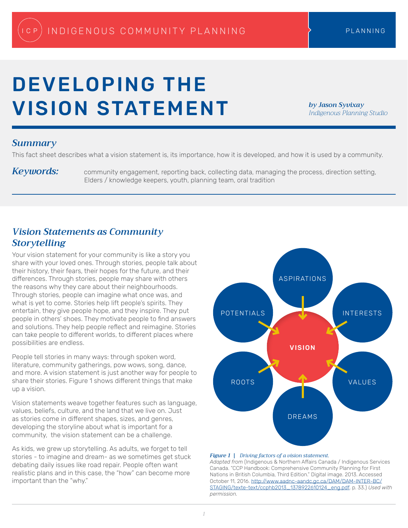# DEVELOPING THE VISION STATEMENT

*by Jason Syvixay Indigenous Planning Studio*

## *Summary*

This fact sheet describes what a vision statement is, its importance, how it is developed, and how it is used by a community.

Keywords: community engagement, reporting back, collecting data, managing the process, direction setting, Elders / knowledge keepers, youth, planning team, oral tradition

# *Vision Statements as Community Storytelling*

Your vision statement for your community is like a story you share with your loved ones. Through stories, people talk about their history, their fears, their hopes for the future, and their differences. Through stories, people may share with others the reasons why they care about their neighbourhoods. Through stories, people can imagine what once was, and what is yet to come. Stories help lift people's spirits. They entertain, they give people hope, and they inspire. They put people in others' shoes. They motivate people to find answers and solutions. They help people reflect and reimagine. Stories can take people to different worlds, to different places where possibilities are endless.

People tell stories in many ways: through spoken word, literature, community gatherings, pow wows, song, dance, and more. A vision statement is just another way for people to share their stories. Figure 1 shows different things that make up a vision.

Vision statements weave together features such as language, values, beliefs, culture, and the land that we live on. Just as stories come in different shapes, sizes, and genres, developing the storyline about what is important for a community, the vision statement can be a challenge.

As kids, we grew up storytelling. As adults, we forget to tell stories - to imagine and dream- as we sometimes get stuck debating daily issues like road repair. People often want realistic plans and in this case, the "how" can become more important than the "why."



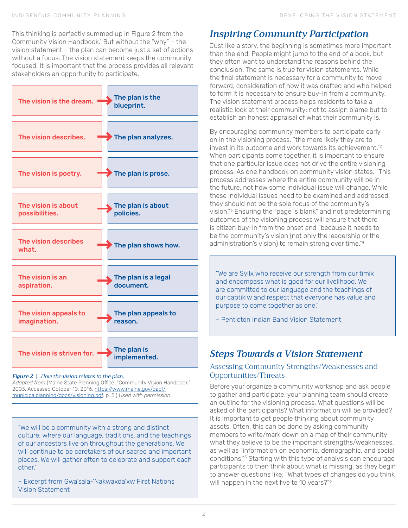This thinking is perfectly summed up in Figure 2 from the Community Vision Handbook.1 But without the "why" – the vision statement – the plan can become just a set of actions without a focus. The vision statement keeps the community focused. It is important that the process provides all relevant stakeholders an opportunity to participate.



#### *Figure 2 | How the vision relates to the plan.*

*Adapted from* (Maine State Planning Office. "Community Vision Handbook." 2003. Accessed October 10, 2016. [https://www.maine.gov/dacf/](https://www.maine.gov/dacf/municipalplanning/docs/visioning.pdf) [municipalplanning/docs/visioning.pdf.](https://www.maine.gov/dacf/municipalplanning/docs/visioning.pdf) p. 5.) *Used with permission.*

"We will be a community with a strong and distinct culture, where our language, traditions, and the teachings of our ancestors live on throughout the generations. We will continue to be caretakers of our sacred and important places. We will gather often to celebrate and support each other."

– Excerpt from Gwa'sala-'Nakwaxda'xw First Nations Vision Statement

# *Inspiring Community Participation*

Just like a story, the beginning is sometimes more important than the end. People might jump to the end of a book, but they often want to understand the reasons behind the conclusion. The same is true for vision statements. While the final statement is necessary for a community to move forward, consideration of how it was drafted and who helped to form it is necessary to ensure buy-in from a community. The vision statement process helps residents to take a realistic look at their community; not to assign blame but to establish an honest appraisal of what their community is.

By encouraging community members to participate early on in the visioning process, "the more likely they are to invest in its outcome and work towards its achievement."2 When participants come together, it is important to ensure that one particular issue does not drive the entire visioning process. As one handbook on community vision states, "This process addresses where the entire community will be in the future, not how some individual issue will change. While these individual issues need to be examined and addressed, they should not be the sole focus of the community's vision."3 Ensuring the "page is blank" and not predetermining outcomes of the visioning process will ensure that there is citizen buy-in from the onset and "because it needs to be the community's vision (not only the leadership or the administration's vision) to remain strong over time."4

"We are Syilx who receive our strength from our timix and encompass what is good for our livelihood. We are committed to our language and the teachings of our captiklw and respect that everyone has value and purpose to come together as one."

– Penticton Indian Band Vision Statement

# *Steps Towards a Vision Statement*

## Assessing Community Strengths/Weaknesses and Opportunities/Threats

Before your organize a community workshop and ask people to gather and participate, your planning team should create an outline for the visioning process. What questions will be asked of the participants? What information will be provided? It is important to get people thinking about community assets. Often, this can be done by asking community members to write/mark down on a map of their community what they believe to be the important strengths/weaknesses, as well as "information on economic, demographic, and social conditions."5 Starting with this type of analysis can encourage participants to then think about what is missing, as they begin to answer questions like: "What types of changes do you think will happen in the next five to 10 years?"<sup>6</sup>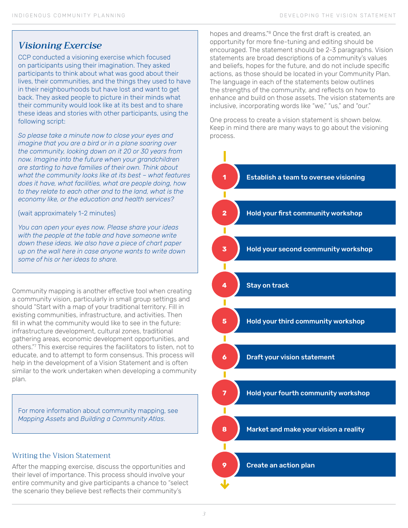## *Visioning Exercise*

CCP conducted a visioning exercise which focused on participants using their imagination. They asked participants to think about what was good about their lives, their communities, and the things they used to have in their neighbourhoods but have lost and want to get back. They asked people to picture in their minds what their community would look like at its best and to share these ideas and stories with other participants, using the following script:

*So please take a minute now to close your eyes and imagine that you are a bird or in a plane soaring over the community, looking down on it 20 or 30 years from now. Imagine into the future when your grandchildren are starting to have families of their own. Think about what the community looks like at its best – what features does it have, what facilities, what are people doing, how to they relate to each other and to the land, what is the economy like, or the education and health services?*

### (wait approximately 1-2 minutes)

*You can open your eyes now. Please share your ideas with the people at the table and have someone write down these ideas. We also have a piece of chart paper up on the wall here in case anyone wants to write down some of his or her ideas to share.*

Community mapping is another effective tool when creating a community vision, particularly in small group settings and should "Start with a map of your traditional territory. Fill in existing communities, infrastructure, and activities. Then fill in what the community would like to see in the future: infrastructure development, cultural zones, traditional gathering areas, economic development opportunities, and others."7 This exercise requires the facilitators to listen, not to educate, and to attempt to form consensus. This process will help in the development of a Vision Statement and is often similar to the work undertaken when developing a community plan.

For more information about community mapping, see *Mapping Assets* and *Building a Community Atlas*.

## Writing the Vision Statement

After the mapping exercise, discuss the opportunities and their level of importance. This process should involve your entire community and give participants a chance to "select the scenario they believe best reflects their community's

hopes and dreams."8 Once the first draft is created, an opportunity for more fine-tuning and editing should be encouraged. The statement should be 2-3 paragraphs. Vision statements are broad descriptions of a community's values and beliefs, hopes for the future, and do not include specific actions, as those should be located in your Community Plan. The language in each of the statements below outlines the strengths of the community, and reflects on how to enhance and build on those assets. The vision statements are inclusive, incorporating words like "we," "us," and "our."

One process to create a vision statement is shown below. Keep in mind there are many ways to go about the visioning process.